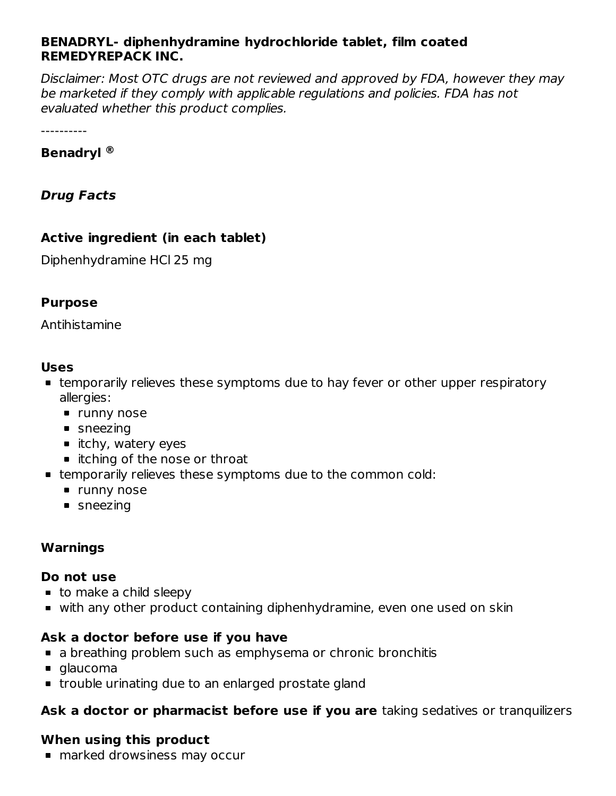#### **BENADRYL- diphenhydramine hydrochloride tablet, film coated REMEDYREPACK INC.**

Disclaimer: Most OTC drugs are not reviewed and approved by FDA, however they may be marketed if they comply with applicable regulations and policies. FDA has not evaluated whether this product complies.

----------

#### **Benadryl ®**

**Drug Facts**

### **Active ingredient (in each tablet)**

Diphenhydramine HCl 25 mg

### **Purpose**

Antihistamine

#### **Uses**

- temporarily relieves these symptoms due to hay fever or other upper respiratory allergies:
	- **runny nose**
	- sneezing
	- $\blacksquare$  itchy, watery eyes
	- itching of the nose or throat
- temporarily relieves these symptoms due to the common cold:
	- **runny nose**
	- sneezing

# **Warnings**

#### **Do not use**

- to make a child sleepy
- with any other product containing diphenhydramine, even one used on skin

# **Ask a doctor before use if you have**

- **a** breathing problem such as emphysema or chronic bronchitis
- glaucoma
- trouble urinating due to an enlarged prostate gland

# **Ask a doctor or pharmacist before use if you are** taking sedatives or tranquilizers

# **When using this product**

■ marked drowsiness may occur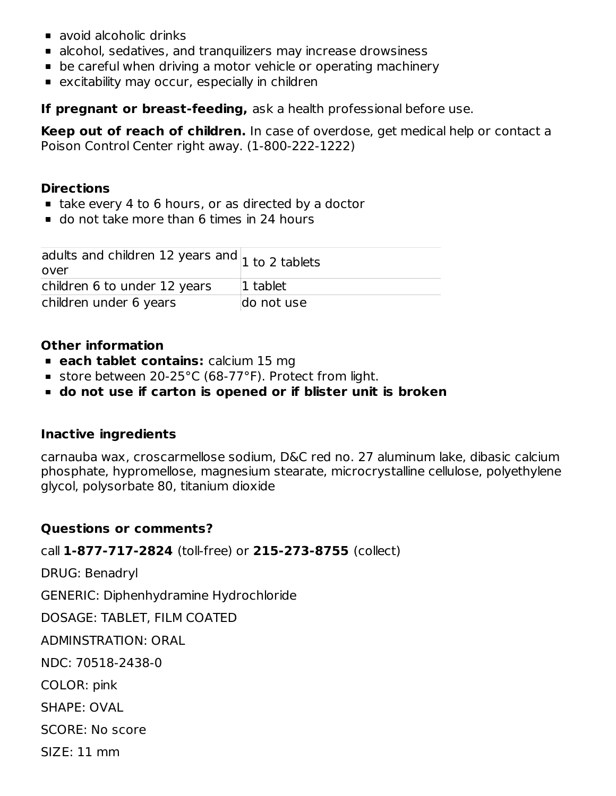- avoid alcoholic drinks
- alcohol, sedatives, and tranquilizers may increase drowsiness
- be careful when driving a motor vehicle or operating machinery
- **Excitability may occur, especially in children**

**If pregnant or breast-feeding,** ask a health professional before use.

**Keep out of reach of children.** In case of overdose, get medical help or contact a Poison Control Center right away. (1-800-222-1222)

### **Directions**

- take every 4 to 6 hours, or as directed by a doctor
- do not take more than 6 times in 24 hours

| adults and children 12 years and $\vert_1$ to 2 tablets<br>over |             |
|-----------------------------------------------------------------|-------------|
| children 6 to under 12 years                                    | $ 1$ tablet |
| children under 6 years                                          | do not use  |

### **Other information**

- **each tablet contains:** calcium 15 mg
- store between 20-25°C (68-77°F). Protect from light.
- **do not use if carton is opened or if blister unit is broken**

# **Inactive ingredients**

carnauba wax, croscarmellose sodium, D&C red no. 27 aluminum lake, dibasic calcium phosphate, hypromellose, magnesium stearate, microcrystalline cellulose, polyethylene glycol, polysorbate 80, titanium dioxide

# **Questions or comments?**

call **1-877-717-2824** (toll-free) or **215-273-8755** (collect)

DRUG: Benadryl

GENERIC: Diphenhydramine Hydrochloride

DOSAGE: TABLET, FILM COATED

ADMINSTRATION: ORAL

NDC: 70518-2438-0

COLOR: pink

SHAPE: OVAL

SCORE: No score

SIZE: 11 mm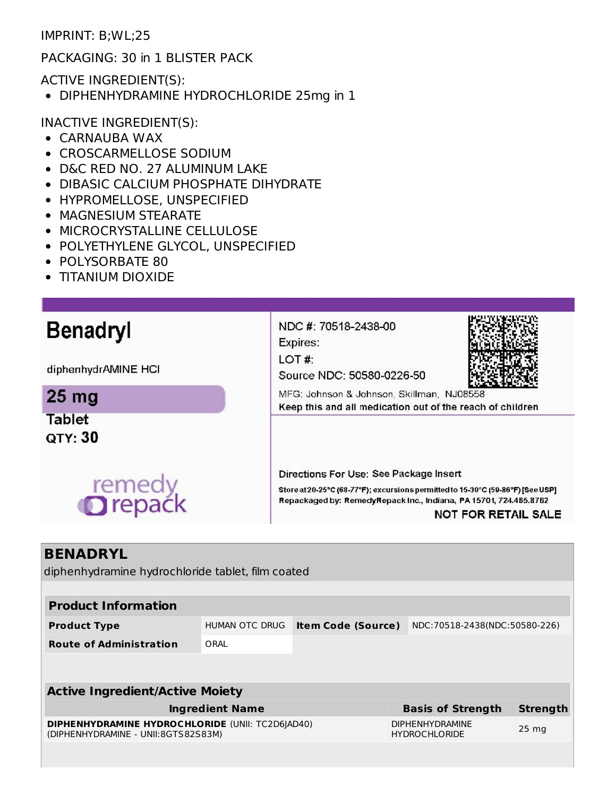IMPRINT: B;WL;25

PACKAGING: 30 in 1 BLISTER PACK

ACTIVE INGREDIENT(S):

DIPHENHYDRAMINE HYDROCHLORIDE 25mg in 1

INACTIVE INGREDIENT(S):

- CARNAUBA WAX
- CROSCARMELLOSE SODIUM
- D&C RED NO. 27 ALUMINUM LAKE
- DIBASIC CALCIUM PHOSPHATE DIHYDRATE
- HYPROMELLOSE, UNSPECIFIED
- MAGNESIUM STEARATE
- MICROCRYSTALLINE CELLULOSE
- POLYETHYLENE GLYCOL, UNSPECIFIED
- POLYSORBATE 80
- TITANIUM DIOXIDE

| <b>Benadryl</b>                 | NDC #: 70518-2438-00<br>Expires:                                                                                                                                                                                             |
|---------------------------------|------------------------------------------------------------------------------------------------------------------------------------------------------------------------------------------------------------------------------|
| diphenhydrAMINE HCI             | LOT#<br>Source NDC: 50580-0226-50                                                                                                                                                                                            |
| 25 <sub>mg</sub>                | MFG: Johnson & Johnson, Skillman, NJ08558<br>Keep this and all medication out of the reach of children                                                                                                                       |
| <b>Tablet</b><br><b>QTY: 30</b> |                                                                                                                                                                                                                              |
| remedy<br><b>O</b> repack       | Directions For Use: See Package Insert<br>Store at 20-25°C (68-77°F); excursions permitted to 15-30°C (59-86°F) [See USP]<br>Repackaged by: RemedyRepack Inc., Indiana, PA 15701, 724.465.8762<br><b>NOT FOR RETAIL SALE</b> |
|                                 |                                                                                                                                                                                                                              |

# **BENADRYL**

diphenhydramine hydrochloride tablet, film coated

| <b>Product Information</b>                                                                     |                |                           |                                                |                               |  |  |  |  |
|------------------------------------------------------------------------------------------------|----------------|---------------------------|------------------------------------------------|-------------------------------|--|--|--|--|
| <b>Product Type</b>                                                                            | HUMAN OTC DRUG | <b>Item Code (Source)</b> |                                                | NDC:70518-2438(NDC:50580-226) |  |  |  |  |
| <b>Route of Administration</b>                                                                 | ORAL           |                           |                                                |                               |  |  |  |  |
|                                                                                                |                |                           |                                                |                               |  |  |  |  |
| <b>Active Ingredient/Active Moiety</b>                                                         |                |                           |                                                |                               |  |  |  |  |
| <b>Ingredient Name</b>                                                                         |                |                           | <b>Basis of Strength</b>                       | <b>Strength</b>               |  |  |  |  |
| <b>DIPHENHYDRAMINE HYDROCHLORIDE (UNII: TC2D6JAD40)</b><br>(DIPHENHYDRAMINE - UNII:8GTS82S83M) |                |                           | <b>DIPHENHYDRAMINE</b><br><b>HYDROCHLORIDE</b> | 25 <sub>ma</sub>              |  |  |  |  |
|                                                                                                |                |                           |                                                |                               |  |  |  |  |